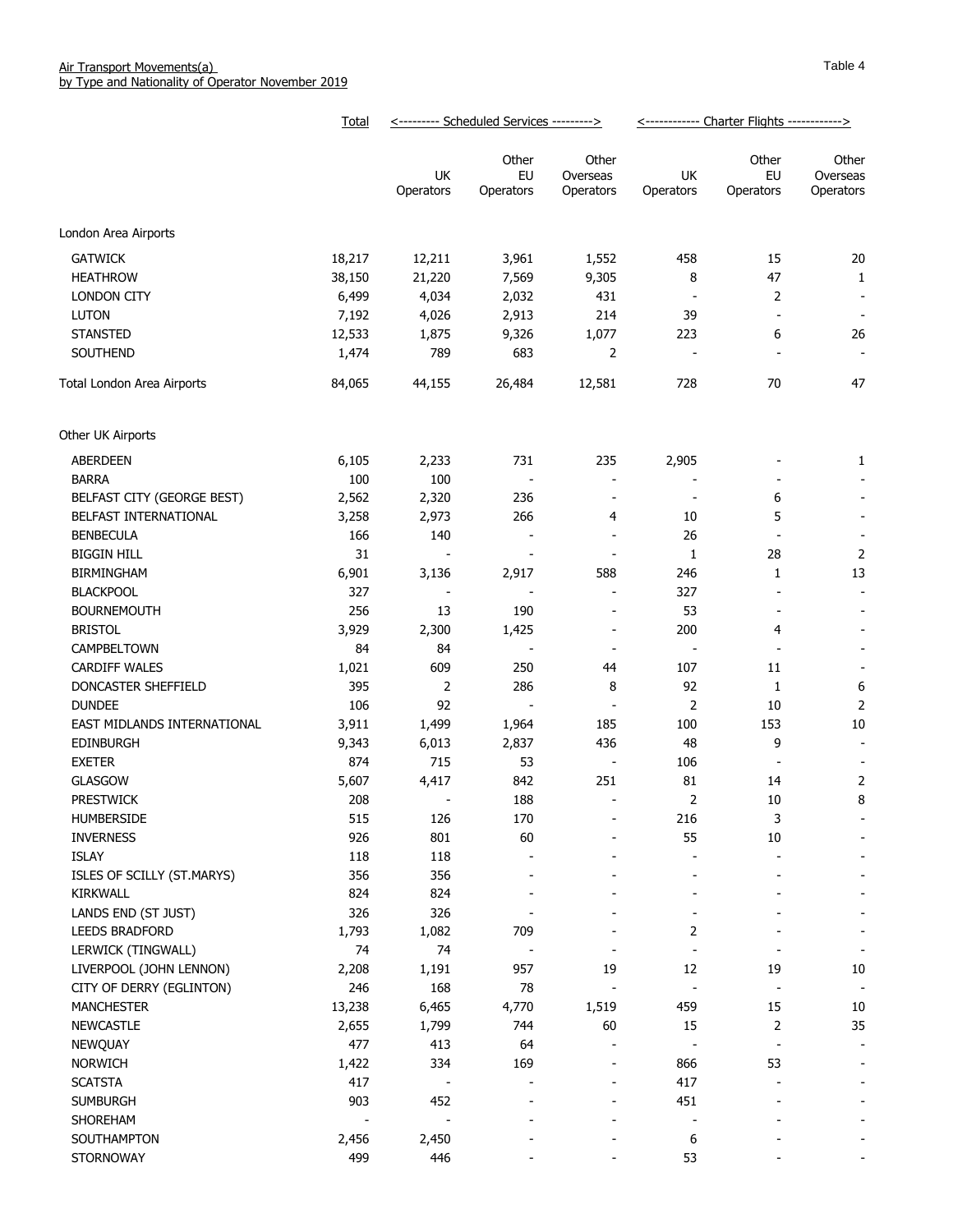|                             | Total  | <--------- Scheduled Services ---------> |                          |                                | <------------ Charter Flights ------------> |                          |                          |
|-----------------------------|--------|------------------------------------------|--------------------------|--------------------------------|---------------------------------------------|--------------------------|--------------------------|
|                             |        | UK                                       | Other<br>EU              | Other<br>Overseas              | UK                                          | Other<br>EU              | Other<br>Overseas        |
|                             |        | Operators                                | Operators                | Operators                      | Operators                                   | Operators                | Operators                |
| London Area Airports        |        |                                          |                          |                                |                                             |                          |                          |
| <b>GATWICK</b>              | 18,217 | 12,211                                   | 3,961                    | 1,552                          | 458                                         | 15                       | 20                       |
| <b>HEATHROW</b>             | 38,150 | 21,220                                   | 7,569                    | 9,305                          | 8                                           | 47                       | $\mathbf{1}$             |
| LONDON CITY                 | 6,499  | 4,034                                    | 2,032                    | 431                            |                                             | $\overline{2}$           | $\overline{\phantom{a}}$ |
| <b>LUTON</b>                | 7,192  | 4,026                                    | 2,913                    | 214                            | 39                                          | $\overline{\phantom{a}}$ | $\overline{\phantom{a}}$ |
| <b>STANSTED</b>             | 12,533 | 1,875                                    | 9,326                    | 1,077                          | 223                                         | 6                        | 26                       |
| SOUTHEND                    | 1,474  | 789                                      | 683                      | 2                              |                                             |                          | $\overline{\phantom{a}}$ |
|                             |        |                                          |                          |                                |                                             |                          |                          |
| Total London Area Airports  | 84,065 | 44,155                                   | 26,484                   | 12,581                         | 728                                         | 70                       | 47                       |
| Other UK Airports           |        |                                          |                          |                                |                                             |                          |                          |
| ABERDEEN                    | 6,105  | 2,233                                    | 731                      | 235                            | 2,905                                       |                          | 1                        |
| <b>BARRA</b>                | 100    | 100                                      | $\overline{\phantom{a}}$ | $\overline{\phantom{a}}$       |                                             |                          |                          |
| BELFAST CITY (GEORGE BEST)  | 2,562  | 2,320                                    | 236                      | $\overline{\phantom{a}}$       |                                             | 6                        |                          |
| BELFAST INTERNATIONAL       | 3,258  | 2,973                                    | 266                      | 4                              | 10                                          | 5                        |                          |
| <b>BENBECULA</b>            | 166    | 140                                      | $\overline{\phantom{a}}$ | $\overline{\phantom{a}}$       | 26                                          |                          | $\overline{\phantom{a}}$ |
| <b>BIGGIN HILL</b>          | 31     |                                          |                          |                                | 1                                           | 28                       | $\overline{2}$           |
| <b>BIRMINGHAM</b>           | 6,901  | 3,136                                    | 2,917                    | 588                            | 246                                         | $\mathbf{1}$             | 13                       |
| <b>BLACKPOOL</b>            | 327    |                                          | $\overline{\phantom{a}}$ | $\overline{\phantom{a}}$       | 327                                         |                          | $\overline{\phantom{a}}$ |
| <b>BOURNEMOUTH</b>          | 256    | 13                                       | 190                      | $\overline{\phantom{a}}$       | 53                                          | $\overline{\phantom{a}}$ |                          |
| <b>BRISTOL</b>              | 3,929  | 2,300                                    | 1,425                    | $\overline{\phantom{a}}$       | 200                                         | 4                        |                          |
| CAMPBELTOWN                 | 84     | 84                                       | $\overline{\phantom{a}}$ | $\overline{\phantom{a}}$       | $\overline{a}$                              |                          |                          |
| <b>CARDIFF WALES</b>        | 1,021  | 609                                      | 250                      | 44                             | 107                                         | 11                       |                          |
| DONCASTER SHEFFIELD         | 395    | $\overline{2}$                           | 286                      | 8                              | 92                                          | 1                        | 6                        |
| <b>DUNDEE</b>               | 106    | 92                                       | $\overline{\phantom{a}}$ | $\overline{\phantom{a}}$       | $\overline{2}$                              | 10                       | $\overline{2}$           |
| EAST MIDLANDS INTERNATIONAL | 3,911  | 1,499                                    | 1,964                    | 185                            | 100                                         | 153                      | 10                       |
| <b>EDINBURGH</b>            | 9,343  | 6,013                                    | 2,837                    | 436                            | 48                                          | 9                        | $\overline{\phantom{a}}$ |
| <b>EXETER</b>               | 874    | 715                                      | 53                       | $\overline{\phantom{a}}$       | 106                                         |                          |                          |
| <b>GLASGOW</b>              | 5,607  | 4,417                                    | 842                      | 251                            | 81                                          | 14                       | 2                        |
| <b>PRESTWICK</b>            | 208    |                                          | 188                      | $\overline{\phantom{a}}$       | $\overline{2}$                              | 10                       | 8                        |
| HUMBERSIDE                  | 515    | 126                                      | 170                      | -                              | 216                                         | 3                        |                          |
| <b>INVERNESS</b>            | 926    | 801                                      | 60                       |                                | 55                                          | $10\,$                   |                          |
| ISLAY                       | 118    | 118                                      |                          |                                |                                             |                          |                          |
| ISLES OF SCILLY (ST.MARYS)  | 356    | 356                                      |                          |                                | $\overline{\phantom{0}}$                    |                          |                          |
| <b>KIRKWALL</b>             | 824    | 824                                      |                          |                                |                                             |                          |                          |
| LANDS END (ST JUST)         | 326    | 326                                      |                          |                                |                                             |                          |                          |
| <b>LEEDS BRADFORD</b>       | 1,793  | 1,082                                    | 709                      |                                | 2                                           |                          |                          |
| LERWICK (TINGWALL)          | 74     | 74                                       |                          | $\overline{\phantom{a}}$       | $\overline{\phantom{a}}$                    |                          |                          |
| LIVERPOOL (JOHN LENNON)     |        |                                          | 957                      |                                | 12                                          |                          |                          |
|                             | 2,208  | 1,191<br>168                             | 78                       | 19<br>$\overline{\phantom{a}}$ |                                             | 19                       | 10                       |
| CITY OF DERRY (EGLINTON)    | 246    |                                          | 4,770                    | 1,519                          | 459                                         | 15                       | $\overline{\phantom{a}}$ |
| <b>MANCHESTER</b>           | 13,238 | 6,465                                    |                          | 60                             | 15                                          |                          | $10\,$<br>35             |
| <b>NEWCASTLE</b>            | 2,655  | 1,799                                    | 744                      |                                |                                             | 2                        |                          |
| NEWQUAY                     | 477    | 413                                      | 64                       | ÷,                             |                                             | $\overline{\phantom{a}}$ | $\overline{\phantom{a}}$ |
| <b>NORWICH</b>              | 1,422  | 334                                      | 169                      |                                | 866                                         | 53                       |                          |
| <b>SCATSTA</b>              | 417    |                                          |                          |                                | 417                                         |                          |                          |
| <b>SUMBURGH</b>             | 903    | 452                                      |                          |                                | 451                                         |                          |                          |
| SHOREHAM                    |        |                                          |                          |                                |                                             |                          |                          |
| SOUTHAMPTON                 | 2,456  | 2,450                                    |                          |                                | 6                                           |                          |                          |
| STORNOWAY                   | 499    | 446                                      |                          |                                | 53                                          |                          |                          |